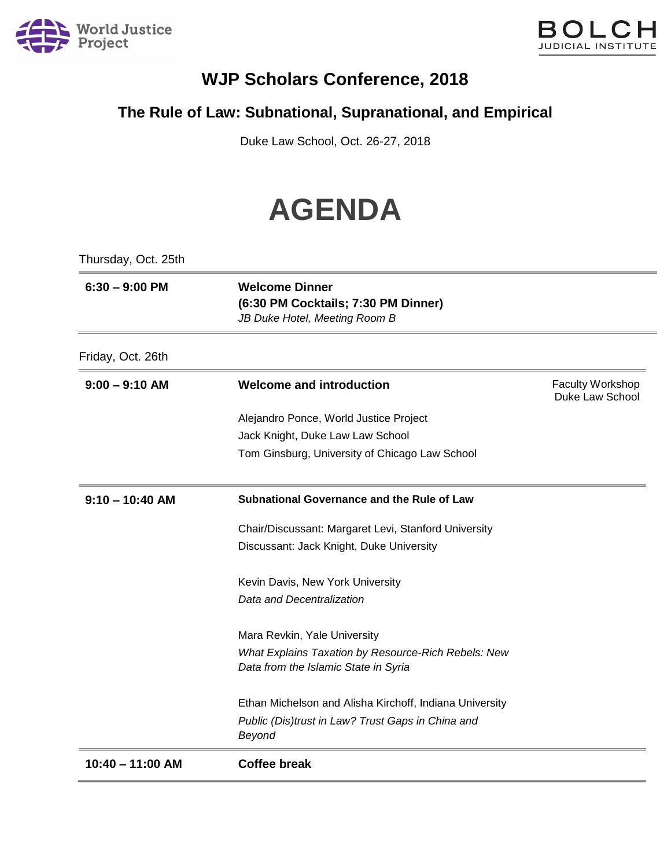



## **WJP Scholars Conference, 2018**

## **The Rule of Law: Subnational, Supranational, and Empirical**

Duke Law School, Oct. 26-27, 2018

## **AGENDA**

| Thursday, Oct. 25th |                                                                                               |                                            |
|---------------------|-----------------------------------------------------------------------------------------------|--------------------------------------------|
| $6:30 - 9:00$ PM    | <b>Welcome Dinner</b><br>(6:30 PM Cocktails; 7:30 PM Dinner)<br>JB Duke Hotel, Meeting Room B |                                            |
| Friday, Oct. 26th   |                                                                                               |                                            |
| $9:00 - 9:10$ AM    | <b>Welcome and introduction</b>                                                               | <b>Faculty Workshop</b><br>Duke Law School |
|                     | Alejandro Ponce, World Justice Project                                                        |                                            |
|                     | Jack Knight, Duke Law Law School                                                              |                                            |
|                     | Tom Ginsburg, University of Chicago Law School                                                |                                            |
| $9:10 - 10:40$ AM   | Subnational Governance and the Rule of Law                                                    |                                            |
|                     | Chair/Discussant: Margaret Levi, Stanford University                                          |                                            |
|                     | Discussant: Jack Knight, Duke University                                                      |                                            |
|                     | Kevin Davis, New York University                                                              |                                            |
|                     | Data and Decentralization                                                                     |                                            |
|                     | Mara Revkin, Yale University                                                                  |                                            |
|                     | What Explains Taxation by Resource-Rich Rebels: New<br>Data from the Islamic State in Syria   |                                            |
|                     | Ethan Michelson and Alisha Kirchoff, Indiana University                                       |                                            |
|                     | Public (Dis)trust in Law? Trust Gaps in China and<br>Beyond                                   |                                            |
| 10:40 - 11:00 AM    | <b>Coffee break</b>                                                                           |                                            |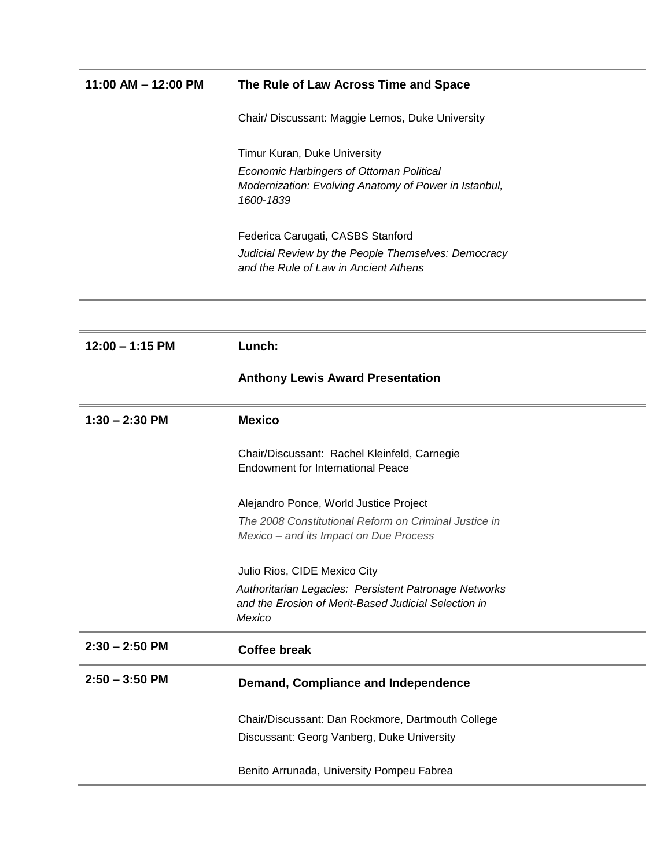| $11:00$ AM $- 12:00$ PM | The Rule of Law Across Time and Space                                                           |
|-------------------------|-------------------------------------------------------------------------------------------------|
|                         | Chair/ Discussant: Maggie Lemos, Duke University                                                |
|                         | Timur Kuran, Duke University                                                                    |
|                         | <b>Economic Harbingers of Ottoman Political</b>                                                 |
|                         | Modernization: Evolving Anatomy of Power in Istanbul,<br>1600-1839                              |
|                         | Federica Carugati, CASBS Stanford                                                               |
|                         | Judicial Review by the People Themselves: Democracy<br>and the Rule of Law in Ancient Athens    |
|                         |                                                                                                 |
| $12:00 - 1:15$ PM       | Lunch:                                                                                          |
|                         | <b>Anthony Lewis Award Presentation</b>                                                         |
| $1:30 - 2:30$ PM        | <b>Mexico</b>                                                                                   |
|                         | Chair/Discussant: Rachel Kleinfeld, Carnegie                                                    |
|                         | <b>Endowment for International Peace</b>                                                        |
|                         | Alejandro Ponce, World Justice Project                                                          |
|                         | The 2008 Constitutional Reform on Criminal Justice in<br>Mexico - and its Impact on Due Process |
|                         | Julio Rios, CIDE Mexico City                                                                    |
|                         | Authoritarian Legacies: Persistent Patronage Networks                                           |
|                         | and the Erosion of Merit-Based Judicial Selection in                                            |
|                         | Mexico                                                                                          |
| $2:30 - 2:50$ PM        | <b>Coffee break</b>                                                                             |
| $2:50 - 3:50$ PM        | Demand, Compliance and Independence                                                             |
|                         | Chair/Discussant: Dan Rockmore, Dartmouth College                                               |
|                         | Discussant: Georg Vanberg, Duke University                                                      |
|                         | Benito Arrunada, University Pompeu Fabrea                                                       |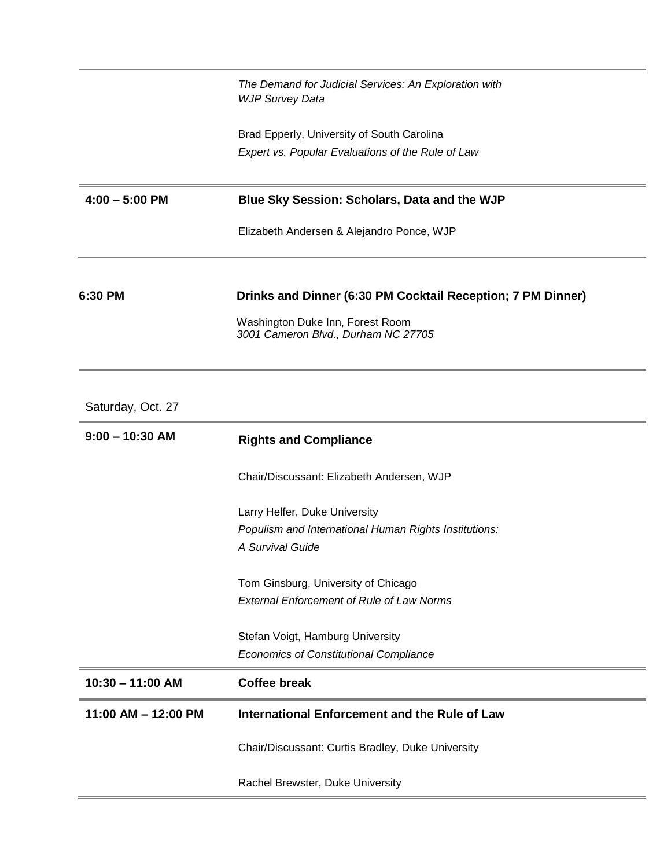|                   | The Demand for Judicial Services: An Exploration with<br><b>WJP Survey Data</b> |
|-------------------|---------------------------------------------------------------------------------|
|                   | Brad Epperly, University of South Carolina                                      |
|                   | Expert vs. Popular Evaluations of the Rule of Law                               |
| $4:00 - 5:00$ PM  | Blue Sky Session: Scholars, Data and the WJP                                    |
|                   | Elizabeth Andersen & Alejandro Ponce, WJP                                       |
| 6:30 PM           | Drinks and Dinner (6:30 PM Cocktail Reception; 7 PM Dinner)                     |
|                   | Washington Duke Inn, Forest Room<br>3001 Cameron Blvd., Durham NC 27705         |
|                   |                                                                                 |
| Saturday, Oct. 27 |                                                                                 |
| $9:00 - 10:30$ AM | <b>Rights and Compliance</b>                                                    |
|                   | Chair/Discussant: Elizabeth Andersen, WJP                                       |
|                   | Larry Helfer, Duke University                                                   |

Tom Ginsburg, University of Chicago *External Enforcement of Rule of Law Norms*

Stefan Voigt, Hamburg University *Economics of Constitutional Compliance*

| 10:30 - 11:00 AM    | Coffee break                                      |
|---------------------|---------------------------------------------------|
| 11:00 AM – 12:00 PM | International Enforcement and the Rule of Law     |
|                     | Chair/Discussant: Curtis Bradley, Duke University |

Rachel Brewster, Duke University